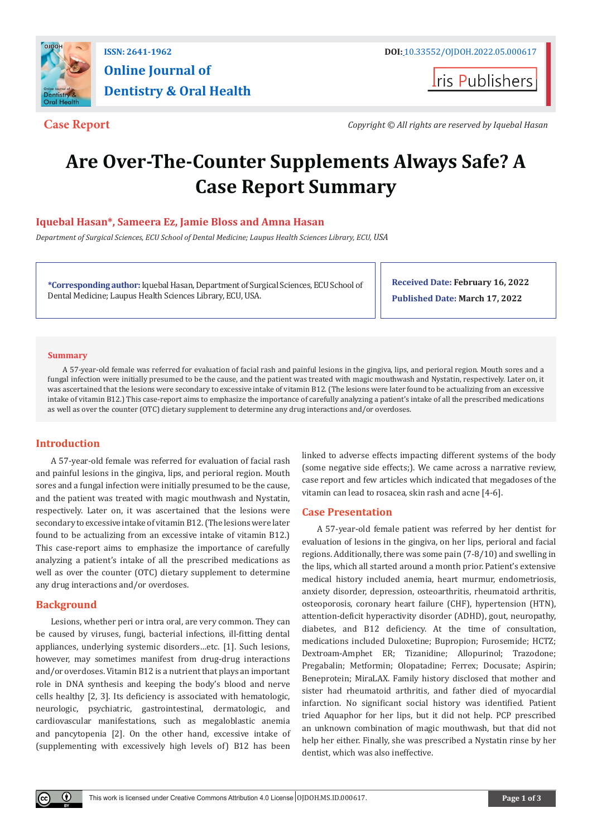

# **Online Journal of Dentistry & Oral Health**

**Iris Publishers** 

**Case Report** *Copyright © All rights are reserved by Iquebal Hasan*

## **Are Over-The-Counter Supplements Always Safe? A Case Report Summary**

### **Iquebal Hasan\*, Sameera Ez, Jamie Bloss and Amna Hasan**

*Department of Surgical Sciences, ECU School of Dental Medicine; Laupus Health Sciences Library, ECU, USA*

**\*Corresponding author:** Iquebal Hasan, Department of Surgical Sciences, ECU School of Dental Medicine; Laupus Health Sciences Library, ECU, USA.

**Received Date: February 16, 2022 Published Date: March 17, 2022**

#### **Summary**

A 57-year-old female was referred for evaluation of facial rash and painful lesions in the gingiva, lips, and perioral region. Mouth sores and a fungal infection were initially presumed to be the cause, and the patient was treated with magic mouthwash and Nystatin, respectively. Later on, it was ascertained that the lesions were secondary to excessive intake of vitamin B12. (The lesions were later found to be actualizing from an excessive intake of vitamin B12.) This case-report aims to emphasize the importance of carefully analyzing a patient's intake of all the prescribed medications as well as over the counter (OTC) dietary supplement to determine any drug interactions and/or overdoses.

#### **Introduction**

A 57-year-old female was referred for evaluation of facial rash and painful lesions in the gingiva, lips, and perioral region. Mouth sores and a fungal infection were initially presumed to be the cause, and the patient was treated with magic mouthwash and Nystatin, respectively. Later on, it was ascertained that the lesions were secondary to excessive intake of vitamin B12. (The lesions were later found to be actualizing from an excessive intake of vitamin B12.) This case-report aims to emphasize the importance of carefully analyzing a patient's intake of all the prescribed medications as well as over the counter (OTC) dietary supplement to determine any drug interactions and/or overdoses.

#### **Background**

Lesions, whether peri or intra oral, are very common. They can be caused by viruses, fungi, bacterial infections, ill-fitting dental appliances, underlying systemic disorders…etc. [1]. Such lesions, however, may sometimes manifest from drug-drug interactions and/or overdoses. Vitamin B12 is a nutrient that plays an important role in DNA synthesis and keeping the body's blood and nerve cells healthy [2, 3]. Its deficiency is associated with hematologic, neurologic, psychiatric, gastrointestinal, dermatologic, and cardiovascular manifestations, such as megaloblastic anemia and pancytopenia [2]. On the other hand, excessive intake of (supplementing with excessively high levels of) B12 has been

linked to adverse effects impacting different systems of the body (some negative side effects;). We came across a narrative review, case report and few articles which indicated that megadoses of the vitamin can lead to rosacea, skin rash and acne [4-6].

#### **Case Presentation**

A 57-year-old female patient was referred by her dentist for evaluation of lesions in the gingiva, on her lips, perioral and facial regions. Additionally, there was some pain (7-8/10) and swelling in the lips, which all started around a month prior. Patient's extensive medical history included anemia, heart murmur, endometriosis, anxiety disorder, depression, osteoarthritis, rheumatoid arthritis, osteoporosis, coronary heart failure (CHF), hypertension (HTN), attention-deficit hyperactivity disorder (ADHD), gout, neuropathy, diabetes, and B12 deficiency. At the time of consultation, medications included Duloxetine; Bupropion; Furosemide; HCTZ; Dextroam-Amphet ER; Tizanidine; Allopurinol; Trazodone; Pregabalin; Metformin; Olopatadine; Ferrex; Docusate; Aspirin; Beneprotein; MiraLAX. Family history disclosed that mother and sister had rheumatoid arthritis, and father died of myocardial infarction. No significant social history was identified. Patient tried Aquaphor for her lips, but it did not help. PCP prescribed an unknown combination of magic mouthwash, but that did not help her either. Finally, she was prescribed a Nystatin rinse by her dentist, which was also ineffective.

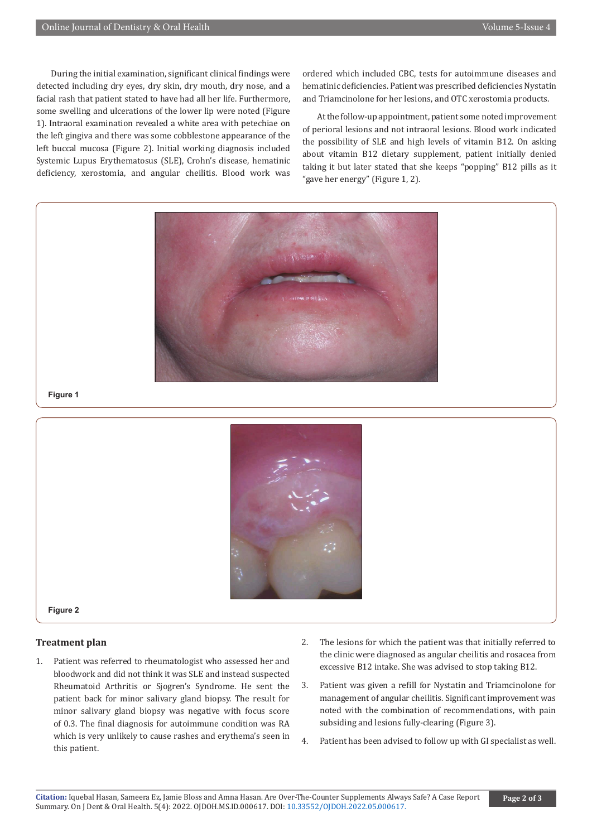During the initial examination, significant clinical findings were detected including dry eyes, dry skin, dry mouth, dry nose, and a facial rash that patient stated to have had all her life. Furthermore, some swelling and ulcerations of the lower lip were noted (Figure 1). Intraoral examination revealed a white area with petechiae on the left gingiva and there was some cobblestone appearance of the left buccal mucosa (Figure 2). Initial working diagnosis included Systemic Lupus Erythematosus (SLE), Crohn's disease, hematinic deficiency, xerostomia, and angular cheilitis. Blood work was

ordered which included CBC, tests for autoimmune diseases and hematinic deficiencies. Patient was prescribed deficiencies Nystatin and Triamcinolone for her lesions, and OTC xerostomia products.

At the follow-up appointment, patient some noted improvement of perioral lesions and not intraoral lesions. Blood work indicated the possibility of SLE and high levels of vitamin B12. On asking about vitamin B12 dietary supplement, patient initially denied taking it but later stated that she keeps "popping" B12 pills as it "gave her energy" (Figure 1, 2).





**Figure 2**

#### **Treatment plan**

- 1. Patient was referred to rheumatologist who assessed her and bloodwork and did not think it was SLE and instead suspected Rheumatoid Arthritis or Sjogren's Syndrome. He sent the patient back for minor salivary gland biopsy. The result for minor salivary gland biopsy was negative with focus score of 0.3. The final diagnosis for autoimmune condition was RA which is very unlikely to cause rashes and erythema's seen in this patient.
- 2. The lesions for which the patient was that initially referred to the clinic were diagnosed as angular cheilitis and rosacea from excessive B12 intake. She was advised to stop taking B12.
- 3. Patient was given a refill for Nystatin and Triamcinolone for management of angular cheilitis. Significant improvement was noted with the combination of recommendations, with pain subsiding and lesions fully-clearing (Figure 3).
- 4. Patient has been advised to follow up with GI specialist as well.